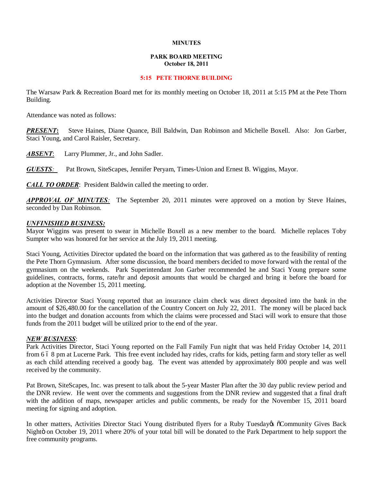## **MINUTES**

# **PARK BOARD MEETING October 18, 2011**

## **5:15 PETE THORNE BUILDING**

The Warsaw Park & Recreation Board met for its monthly meeting on October 18, 2011 at 5:15 PM at the Pete Thorn Building.

Attendance was noted as follows:

**PRESENT:** Steve Haines, Diane Quance, Bill Baldwin, Dan Robinson and Michelle Boxell. Also: Jon Garber, Staci Young, and Carol Raisler, Secretary.

**ABSENT:** Larry Plummer, Jr., and John Sadler.

*GUESTS:*Pat Brown, SiteScapes, Jennifer Peryam, Times-Union and Ernest B. Wiggins, Mayor.

*CALL TO ORDER*: President Baldwin called the meeting to order.

*APPROVAL OF MINUTES:* The September 20, 2011 minutes were approved on a motion by Steve Haines, seconded by Dan Robinson.

## *UNFINISHED BUSINESS:*

Mayor Wiggins was present to swear in Michelle Boxell as a new member to the board. Michelle replaces Toby Sumpter who was honored for her service at the July 19, 2011 meeting.

Staci Young, Activities Director updated the board on the information that was gathered as to the feasibility of renting the Pete Thorn Gymnasium. After some discussion, the board members decided to move forward with the rental of the gymnasium on the weekends. Park Superintendant Jon Garber recommended he and Staci Young prepare some guidelines, contracts, forms, rate/hr and deposit amounts that would be charged and bring it before the board for adoption at the November 15, 2011 meeting.

Activities Director Staci Young reported that an insurance claim check was direct deposited into the bank in the amount of \$26,480.00 for the cancellation of the Country Concert on July 22, 2011. The money will be placed back into the budget and donation accounts from which the claims were processed and Staci will work to ensure that those funds from the 2011 budget will be utilized prior to the end of the year.

# *NEW BUSINESS*:

Park Activities Director, Staci Young reported on the Fall Family Fun night that was held Friday October 14, 2011 from 6.6.8 pm at Lucerne Park. This free event included hay rides, crafts for kids, petting farm and story teller as well as each child attending received a goody bag. The event was attended by approximately 800 people and was well received by the community.

Pat Brown, SiteScapes, Inc. was present to talk about the 5-year Master Plan after the 30 day public review period and the DNR review. He went over the comments and suggestions from the DNR review and suggested that a final draft with the addition of maps, newspaper articles and public comments, be ready for the November 15, 2011 board meeting for signing and adoption.

In other matters, Activities Director Staci Young distributed flyers for a Ruby Tuesday of Community Gives Back Nightö on October 19, 2011 where 20% of your total bill will be donated to the Park Department to help support the free community programs.